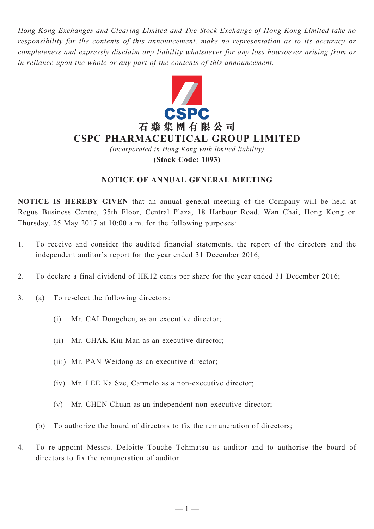*Hong Kong Exchanges and Clearing Limited and The Stock Exchange of Hong Kong Limited take no responsibility for the contents of this announcement, make no representation as to its accuracy or completeness and expressly disclaim any liability whatsoever for any loss howsoever arising from or in reliance upon the whole or any part of the contents of this announcement.*



*(Incorporated in Hong Kong with limited liability)* **(Stock Code: 1093)**

## **NOTICE OF ANNUAL GENERAL MEETING**

**NOTICE IS HEREBY GIVEN** that an annual general meeting of the Company will be held at Regus Business Centre, 35th Floor, Central Plaza, 18 Harbour Road, Wan Chai, Hong Kong on Thursday, 25 May 2017 at 10:00 a.m. for the following purposes:

- 1. To receive and consider the audited financial statements, the report of the directors and the independent auditor's report for the year ended 31 December 2016;
- 2. To declare a final dividend of HK12 cents per share for the year ended 31 December 2016;
- 3. (a) To re-elect the following directors:
	- (i) Mr. CAI Dongchen, as an executive director;
	- (ii) Mr. CHAK Kin Man as an executive director;
	- (iii) Mr. PAN Weidong as an executive director;
	- (iv) Mr. LEE Ka Sze, Carmelo as a non-executive director;
	- (v) Mr. CHEN Chuan as an independent non-executive director;
	- (b) To authorize the board of directors to fix the remuneration of directors;
- 4. To re-appoint Messrs. Deloitte Touche Tohmatsu as auditor and to authorise the board of directors to fix the remuneration of auditor.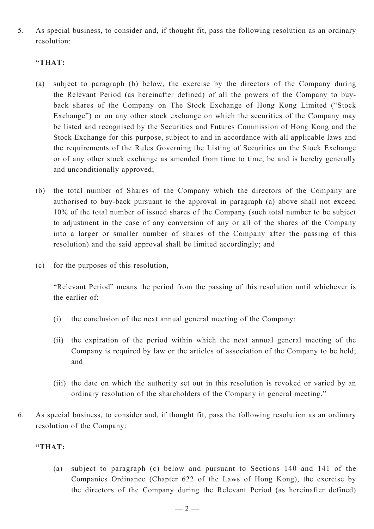5. As special business, to consider and, if thought fit, pass the following resolution as an ordinary resolution:

## **"THAT:**

- (a) subject to paragraph (b) below, the exercise by the directors of the Company during the Relevant Period (as hereinafter defined) of all the powers of the Company to buyback shares of the Company on The Stock Exchange of Hong Kong Limited ("Stock Exchange") or on any other stock exchange on which the securities of the Company may be listed and recognised by the Securities and Futures Commission of Hong Kong and the Stock Exchange for this purpose, subject to and in accordance with all applicable laws and the requirements of the Rules Governing the Listing of Securities on the Stock Exchange or of any other stock exchange as amended from time to time, be and is hereby generally and unconditionally approved;
- (b) the total number of Shares of the Company which the directors of the Company are authorised to buy-back pursuant to the approval in paragraph (a) above shall not exceed 10% of the total number of issued shares of the Company (such total number to be subject to adjustment in the case of any conversion of any or all of the shares of the Company into a larger or smaller number of shares of the Company after the passing of this resolution) and the said approval shall be limited accordingly; and
- (c) for the purposes of this resolution,

"Relevant Period" means the period from the passing of this resolution until whichever is the earlier of:

- (i) the conclusion of the next annual general meeting of the Company;
- (ii) the expiration of the period within which the next annual general meeting of the Company is required by law or the articles of association of the Company to be held; and
- (iii) the date on which the authority set out in this resolution is revoked or varied by an ordinary resolution of the shareholders of the Company in general meeting."
- 6. As special business, to consider and, if thought fit, pass the following resolution as an ordinary resolution of the Company:

### **"THAT:**

(a) subject to paragraph (c) below and pursuant to Sections 140 and 141 of the Companies Ordinance (Chapter 622 of the Laws of Hong Kong), the exercise by the directors of the Company during the Relevant Period (as hereinafter defined)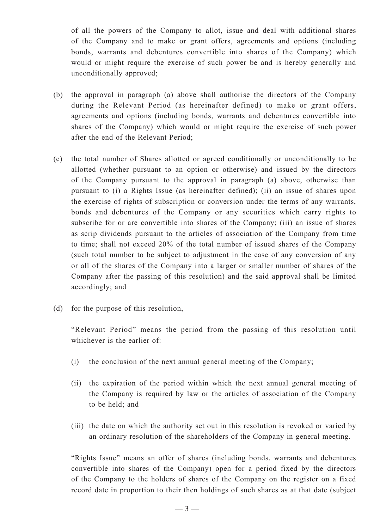of all the powers of the Company to allot, issue and deal with additional shares of the Company and to make or grant offers, agreements and options (including bonds, warrants and debentures convertible into shares of the Company) which would or might require the exercise of such power be and is hereby generally and unconditionally approved;

- (b) the approval in paragraph (a) above shall authorise the directors of the Company during the Relevant Period (as hereinafter defined) to make or grant offers, agreements and options (including bonds, warrants and debentures convertible into shares of the Company) which would or might require the exercise of such power after the end of the Relevant Period;
- (c) the total number of Shares allotted or agreed conditionally or unconditionally to be allotted (whether pursuant to an option or otherwise) and issued by the directors of the Company pursuant to the approval in paragraph (a) above, otherwise than pursuant to (i) a Rights Issue (as hereinafter defined); (ii) an issue of shares upon the exercise of rights of subscription or conversion under the terms of any warrants, bonds and debentures of the Company or any securities which carry rights to subscribe for or are convertible into shares of the Company; (iii) an issue of shares as scrip dividends pursuant to the articles of association of the Company from time to time; shall not exceed 20% of the total number of issued shares of the Company (such total number to be subject to adjustment in the case of any conversion of any or all of the shares of the Company into a larger or smaller number of shares of the Company after the passing of this resolution) and the said approval shall be limited accordingly; and
- (d) for the purpose of this resolution,

"Relevant Period" means the period from the passing of this resolution until whichever is the earlier of:

- (i) the conclusion of the next annual general meeting of the Company;
- (ii) the expiration of the period within which the next annual general meeting of the Company is required by law or the articles of association of the Company to be held; and
- (iii) the date on which the authority set out in this resolution is revoked or varied by an ordinary resolution of the shareholders of the Company in general meeting.

"Rights Issue" means an offer of shares (including bonds, warrants and debentures convertible into shares of the Company) open for a period fixed by the directors of the Company to the holders of shares of the Company on the register on a fixed record date in proportion to their then holdings of such shares as at that date (subject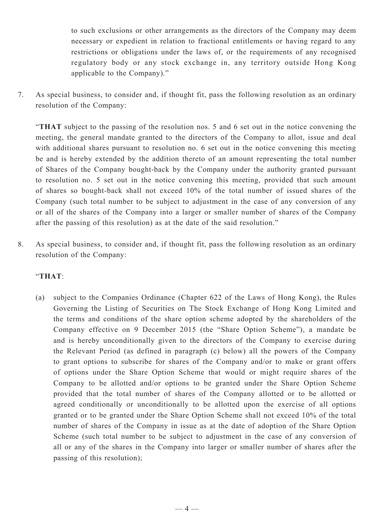to such exclusions or other arrangements as the directors of the Company may deem necessary or expedient in relation to fractional entitlements or having regard to any restrictions or obligations under the laws of, or the requirements of any recognised regulatory body or any stock exchange in, any territory outside Hong Kong applicable to the Company)."

7. As special business, to consider and, if thought fit, pass the following resolution as an ordinary resolution of the Company:

"**THAT** subject to the passing of the resolution nos. 5 and 6 set out in the notice convening the meeting, the general mandate granted to the directors of the Company to allot, issue and deal with additional shares pursuant to resolution no. 6 set out in the notice convening this meeting be and is hereby extended by the addition thereto of an amount representing the total number of Shares of the Company bought-back by the Company under the authority granted pursuant to resolution no. 5 set out in the notice convening this meeting, provided that such amount of shares so bought-back shall not exceed 10% of the total number of issued shares of the Company (such total number to be subject to adjustment in the case of any conversion of any or all of the shares of the Company into a larger or smaller number of shares of the Company after the passing of this resolution) as at the date of the said resolution."

8. As special business, to consider and, if thought fit, pass the following resolution as an ordinary resolution of the Company:

# "**THAT**:

(a) subject to the Companies Ordinance (Chapter 622 of the Laws of Hong Kong), the Rules Governing the Listing of Securities on The Stock Exchange of Hong Kong Limited and the terms and conditions of the share option scheme adopted by the shareholders of the Company effective on 9 December 2015 (the "Share Option Scheme"), a mandate be and is hereby unconditionally given to the directors of the Company to exercise during the Relevant Period (as defined in paragraph (c) below) all the powers of the Company to grant options to subscribe for shares of the Company and/or to make or grant offers of options under the Share Option Scheme that would or might require shares of the Company to be allotted and/or options to be granted under the Share Option Scheme provided that the total number of shares of the Company allotted or to be allotted or agreed conditionally or unconditionally to be allotted upon the exercise of all options granted or to be granted under the Share Option Scheme shall not exceed 10% of the total number of shares of the Company in issue as at the date of adoption of the Share Option Scheme (such total number to be subject to adjustment in the case of any conversion of all or any of the shares in the Company into larger or smaller number of shares after the passing of this resolution);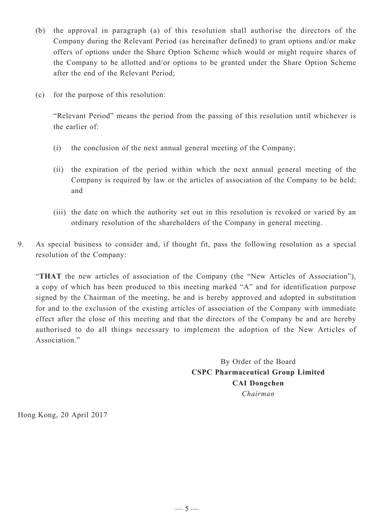- (b) the approval in paragraph (a) of this resolution shall authorise the directors of the Company during the Relevant Period (as hereinafter defined) to grant options and/or make offers of options under the Share Option Scheme which would or might require shares of the Company to be allotted and/or options to be granted under the Share Option Scheme after the end of the Relevant Period;
- (c) for the purpose of this resolution:

"Relevant Period" means the period from the passing of this resolution until whichever is the earlier of:

- (i) the conclusion of the next annual general meeting of the Company;
- (ii) the expiration of the period within which the next annual general meeting of the Company is required by law or the articles of association of the Company to be held; and
- (iii) the date on which the authority set out in this resolution is revoked or varied by an ordinary resolution of the shareholders of the Company in general meeting.
- 9. As special business to consider and, if thought fit, pass the following resolution as a special resolution of the Company:

"**THAT** the new articles of association of the Company (the "New Articles of Association"), a copy of which has been produced to this meeting marked "A" and for identification purpose signed by the Chairman of the meeting, be and is hereby approved and adopted in substitution for and to the exclusion of the existing articles of association of the Company with immediate effect after the close of this meeting and that the directors of the Company be and are hereby authorised to do all things necessary to implement the adoption of the New Articles of Association."

> By Order of the Board **CSPC Pharmaceutical Group Limited CAI Dongchen** *Chairman*

Hong Kong, 20 April 2017